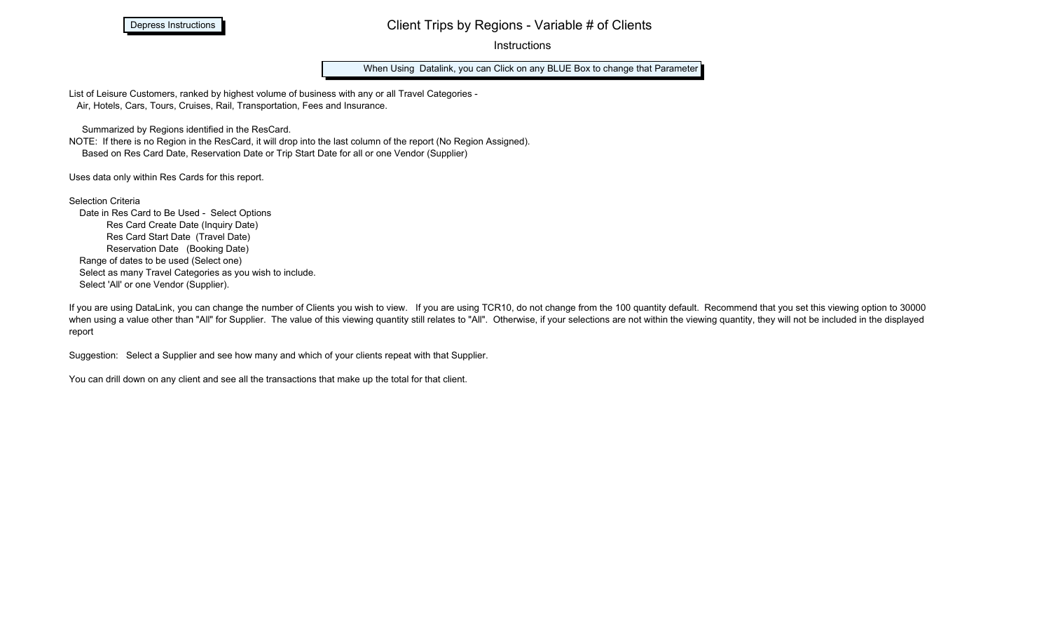Depress Instructions

## Client Trips by Regions - Variable # of Clients

**Instructions** 

When Using Datalink, you can Click on any BLUE Box to change that Parameter

List of Leisure Customers, ranked by highest volume of business with any or all Travel Categories - Air, Hotels, Cars, Tours, Cruises, Rail, Transportation, Fees and Insurance.

Summarized by Regions identified in the ResCard.

NOTE: If there is no Region in the ResCard, it will drop into the last column of the report (No Region Assigned). Based on Res Card Date, Reservation Date or Trip Start Date for all or one Vendor (Supplier)

Uses data only within Res Cards for this report.

Selection Criteria Date in Res Card to Be Used - Select Options Res Card Create Date (Inquiry Date) Res Card Start Date (Travel Date) Reservation Date (Booking Date) Range of dates to be used (Select one)

 Select as many Travel Categories as you wish to include. Select 'All' or one Vendor (Supplier).

If you are using DataLink, you can change the number of Clients you wish to view. If you are using TCR10, do not change from the 100 quantity default. Recommend that you set this viewing option to 30000 when using a value other than "All" for Supplier. The value of this viewing quantity still relates to "All". Otherwise, if your selections are not within the viewing quantity, they will not be included in the displayed report

Suggestion: Select a Supplier and see how many and which of your clients repeat with that Supplier.

You can drill down on any client and see all the transactions that make up the total for that client.